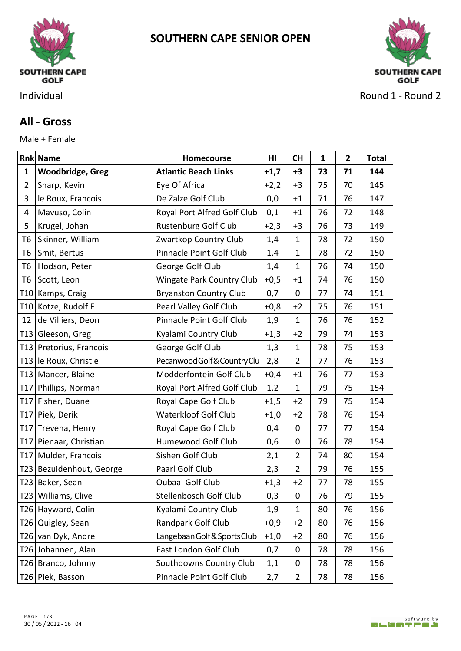

**SOUTHERN CAPE SENIOR OPEN**



Individual **Round 1 - Round 2** 

## **All - Gross**

Male + Female

|                | <b>Rnk Name</b>          | <b>Homecourse</b>                | H <sub>II</sub> | <b>CH</b>      | 1  | 2  | <b>Total</b> |
|----------------|--------------------------|----------------------------------|-----------------|----------------|----|----|--------------|
| $\mathbf{1}$   | <b>Woodbridge, Greg</b>  | <b>Atlantic Beach Links</b>      | $+1,7$          | $+3$           | 73 | 71 | 144          |
| $\overline{2}$ | Sharp, Kevin             | Eye Of Africa                    | $+2,2$          | $+3$           | 75 | 70 | 145          |
| 3              | le Roux, Francois        | De Zalze Golf Club               | 0,0             | $+1$           | 71 | 76 | 147          |
| 4              | Mavuso, Colin            | Royal Port Alfred Golf Club      | 0,1             | $+1$           | 76 | 72 | 148          |
| 5              | Krugel, Johan            | <b>Rustenburg Golf Club</b>      | $+2,3$          | $+3$           | 76 | 73 | 149          |
| T <sub>6</sub> | Skinner, William         | Zwartkop Country Club            | 1,4             | $\mathbf{1}$   | 78 | 72 | 150          |
| T <sub>6</sub> | Smit, Bertus             | Pinnacle Point Golf Club         | 1,4             | $\mathbf{1}$   | 78 | 72 | 150          |
| T <sub>6</sub> | Hodson, Peter            | George Golf Club                 | 1,4             | $\mathbf{1}$   | 76 | 74 | 150          |
| T6             | Scott, Leon              | <b>Wingate Park Country Club</b> | $+0,5$          | $+1$           | 74 | 76 | 150          |
|                | T10 Kamps, Craig         | <b>Bryanston Country Club</b>    | 0,7             | $\mathbf 0$    | 77 | 74 | 151          |
|                | T10 Kotze, Rudolf F      | Pearl Valley Golf Club           | $+0,8$          | $+2$           | 75 | 76 | 151          |
| 12             | de Villiers, Deon        | Pinnacle Point Golf Club         | 1,9             | $\mathbf{1}$   | 76 | 76 | 152          |
|                | T13 Gleeson, Greg        | Kyalami Country Club             | $+1,3$          | $+2$           | 79 | 74 | 153          |
| T13            | Pretorius, Francois      | George Golf Club                 | 1,3             | $\mathbf{1}$   | 78 | 75 | 153          |
|                | T13 le Roux, Christie    | Pecanwood Golf & Country Clu     | 2,8             | $\overline{2}$ | 77 | 76 | 153          |
|                | T13   Mancer, Blaine     | Modderfontein Golf Club          | $+0,4$          | $+1$           | 76 | 77 | 153          |
| T17            | Phillips, Norman         | Royal Port Alfred Golf Club      | 1,2             | $\mathbf{1}$   | 79 | 75 | 154          |
| T17            | Fisher, Duane            | Royal Cape Golf Club             | $+1,5$          | $+2$           | 79 | 75 | 154          |
| T17            | Piek, Derik              | Waterkloof Golf Club             | $+1,0$          | $+2$           | 78 | 76 | 154          |
| T17            | Trevena, Henry           | Royal Cape Golf Club             | 0,4             | $\mathbf 0$    | 77 | 77 | 154          |
| T17            | Pienaar, Christian       | Humewood Golf Club               | 0,6             | $\mathbf 0$    | 76 | 78 | 154          |
|                | T17 Mulder, Francois     | Sishen Golf Club                 | 2,1             | $\overline{2}$ | 74 | 80 | 154          |
|                | T23 Bezuidenhout, George | Paarl Golf Club                  | 2,3             | $\overline{2}$ | 79 | 76 | 155          |
|                | T23 Baker, Sean          | Oubaai Golf Club                 | $+1,3$          | $+2$           | 77 | 78 | 155          |
|                | T23 Williams, Clive      | Stellenbosch Golf Club           | 0,3             | 0              | 76 | 79 | 155          |
|                | T26   Hayward, Colin     | Kyalami Country Club             | 1,9             | $\mathbf{1}$   | 80 | 76 | 156          |
|                | T26 Quigley, Sean        | Randpark Golf Club               | $+0,9$          | $+2$           | 80 | 76 | 156          |
|                | T26 van Dyk, Andre       | Langebaan Golf & Sports Club     | $+1,0$          | $+2$           | 80 | 76 | 156          |
|                | T26 Johannen, Alan       | East London Golf Club            | 0,7             | $\mathbf 0$    | 78 | 78 | 156          |
|                | T26 Branco, Johnny       | Southdowns Country Club          | 1,1             | $\mathbf 0$    | 78 | 78 | 156          |
|                | T26 Piek, Basson         | Pinnacle Point Golf Club         | 2,7             | $\overline{2}$ | 78 | 78 | 156          |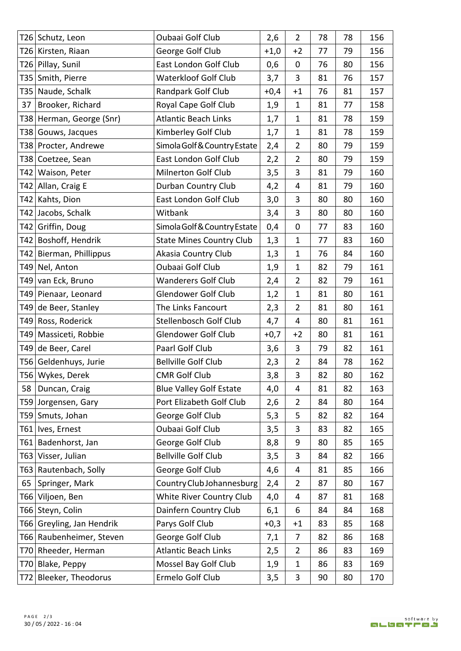|    | T26   Schutz, Leon        | Oubaai Golf Club                | 2,6    | $\overline{2}$ | 78 | 78 | 156 |
|----|---------------------------|---------------------------------|--------|----------------|----|----|-----|
|    | T26 Kirsten, Riaan        | George Golf Club                | $+1,0$ | $+2$           | 77 | 79 | 156 |
|    | T26 Pillay, Sunil         | East London Golf Club           | 0,6    | 0              | 76 | 80 | 156 |
|    | T35 Smith, Pierre         | <b>Waterkloof Golf Club</b>     | 3,7    | $\overline{3}$ | 81 | 76 | 157 |
|    | T35   Naude, Schalk       | Randpark Golf Club              | $+0,4$ | $+1$           | 76 | 81 | 157 |
| 37 | Brooker, Richard          | Royal Cape Golf Club            | 1,9    | 1              | 81 | 77 | 158 |
|    | T38 Herman, George (Snr)  | <b>Atlantic Beach Links</b>     | 1,7    | $\mathbf{1}$   | 81 | 78 | 159 |
|    | T38 Gouws, Jacques        | Kimberley Golf Club             | 1,7    | $\mathbf{1}$   | 81 | 78 | 159 |
|    | T38   Procter, Andrewe    | Simola Golf & Country Estate    | 2,4    | $\overline{2}$ | 80 | 79 | 159 |
|    | T38 Coetzee, Sean         | East London Golf Club           | 2,2    | $\overline{2}$ | 80 | 79 | 159 |
|    | T42 Waison, Peter         | Milnerton Golf Club             | 3,5    | 3              | 81 | 79 | 160 |
|    | T42 Allan, Craig E        | Durban Country Club             | 4,2    | 4              | 81 | 79 | 160 |
|    | T42 Kahts, Dion           | East London Golf Club           | 3,0    | 3              | 80 | 80 | 160 |
|    | T42 Jacobs, Schalk        | Witbank                         | 3,4    | 3              | 80 | 80 | 160 |
|    | T42 Griffin, Doug         | Simola Golf & Country Estate    | 0,4    | 0              | 77 | 83 | 160 |
|    | T42 Boshoff, Hendrik      | <b>State Mines Country Club</b> | 1,3    | $\mathbf 1$    | 77 | 83 | 160 |
|    | T42   Bierman, Phillippus | Akasia Country Club             | 1,3    | $\mathbf{1}$   | 76 | 84 | 160 |
|    | T49 Nel, Anton            | Oubaai Golf Club                | 1,9    | $\mathbf 1$    | 82 | 79 | 161 |
|    | T49 van Eck, Bruno        | <b>Wanderers Golf Club</b>      | 2,4    | $\overline{2}$ | 82 | 79 | 161 |
|    | T49 Pienaar, Leonard      | <b>Glendower Golf Club</b>      | 1,2    | 1              | 81 | 80 | 161 |
|    | T49 de Beer, Stanley      | The Links Fancourt              | 2,3    | $\overline{2}$ | 81 | 80 | 161 |
|    | T49 Ross, Roderick        | Stellenbosch Golf Club          | 4,7    | 4              | 80 | 81 | 161 |
|    | T49   Massiceti, Robbie   | Glendower Golf Club             | $+0,7$ | $+2$           | 80 | 81 | 161 |
|    | T49 de Beer, Carel        | Paarl Golf Club                 | 3,6    | 3              | 79 | 82 | 161 |
|    | T56 Geldenhuys, Jurie     | <b>Bellville Golf Club</b>      | 2,3    | $\overline{2}$ | 84 | 78 | 162 |
|    | T56 Wykes, Derek          | <b>CMR Golf Club</b>            | 3,8    | 3              | 82 | 80 | 162 |
| 58 | Duncan, Craig             | <b>Blue Valley Golf Estate</b>  | 4,0    | 4              | 81 | 82 | 163 |
|    | T59 Jorgensen, Gary       | Port Elizabeth Golf Club        | 2,6    | $\overline{2}$ | 84 | 80 | 164 |
|    | T59 Smuts, Johan          | George Golf Club                | 5,3    | 5              | 82 | 82 | 164 |
|    | T61   Ives, Ernest        | Oubaai Golf Club                | 3,5    | 3              | 83 | 82 | 165 |
|    | T61 Badenhorst, Jan       | George Golf Club                | 8,8    | 9              | 80 | 85 | 165 |
|    | T63 Visser, Julian        | <b>Bellville Golf Club</b>      | 3,5    | 3              | 84 | 82 | 166 |
|    | T63 Rautenbach, Solly     | George Golf Club                | 4,6    | 4              | 81 | 85 | 166 |
| 65 | Springer, Mark            | Country Club Johannesburg       | 2,4    | $\overline{2}$ | 87 | 80 | 167 |
|    | T66 Viljoen, Ben          | White River Country Club        | 4,0    | 4              | 87 | 81 | 168 |
|    | T66 Steyn, Colin          | Dainfern Country Club           | 6,1    | 6              | 84 | 84 | 168 |
|    | T66 Greyling, Jan Hendrik | Parys Golf Club                 | $+0,3$ | $+1$           | 83 | 85 | 168 |
|    | T66 Raubenheimer, Steven  | George Golf Club                | 7,1    | 7              | 82 | 86 | 168 |
|    | T70 Rheeder, Herman       | <b>Atlantic Beach Links</b>     | 2,5    | $\overline{2}$ | 86 | 83 | 169 |
|    | T70 Blake, Peppy          | Mossel Bay Golf Club            | 1,9    | 1              | 86 | 83 | 169 |
|    | T72 Bleeker, Theodorus    | Ermelo Golf Club                | 3,5    | 3              | 90 | 80 | 170 |